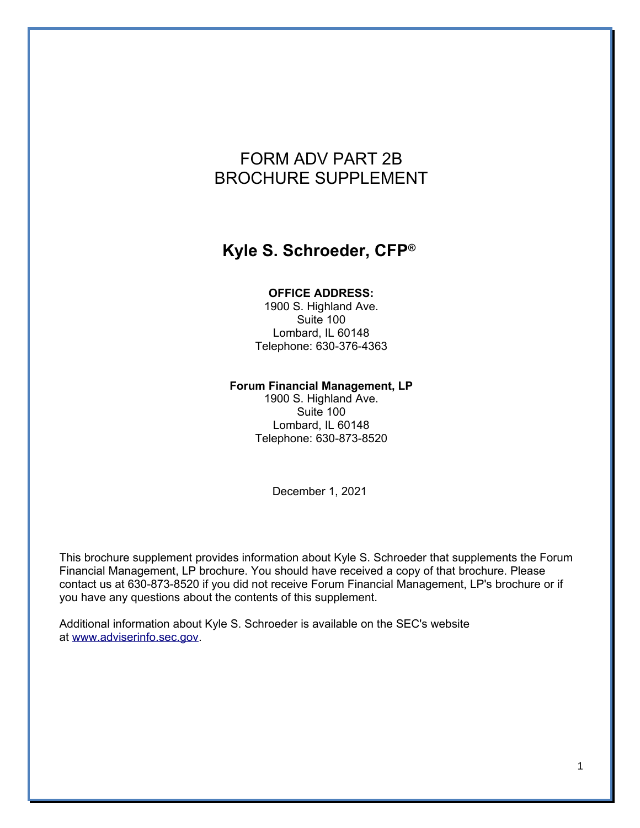# FORM ADV PART 2B BROCHURE SUPPLEMENT

# **Kyle S. Schroeder, CFP®**

#### **OFFICE ADDRESS:**

1900 S. Highland Ave. Suite 100 Lombard, IL 60148 Telephone: 630-376-4363

#### **Forum Financial Management, LP**

1900 S. Highland Ave. Suite 100 Lombard, IL 60148 Telephone: 630-873-8520

December 1, 2021

This brochure supplement provides information about Kyle S. Schroeder that supplements the Forum Financial Management, LP brochure. You should have received a copy of that brochure. Please contact us at 630-873-8520 if you did not receive Forum Financial Management, LP's brochure or if you have any questions about the contents of this supplement.

Additional information about Kyle S. Schroeder is available on the SEC's website at [www.adviserinfo.sec.gov.](http://www.adviserinfo.sec.gov/)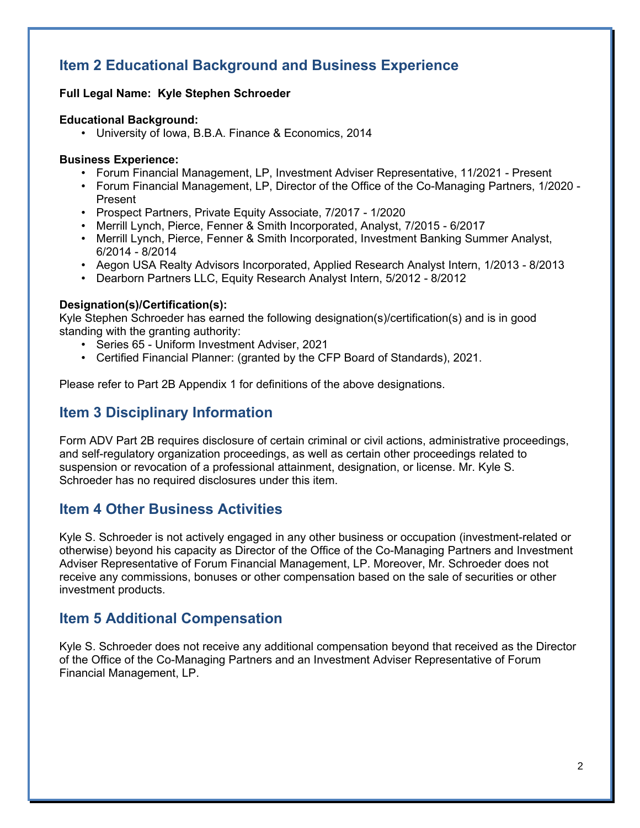## **Item 2 Educational Background and Business Experience**

#### **Full Legal Name: Kyle Stephen Schroeder**

#### **Educational Background:**

• University of Iowa, B.B.A. Finance & Economics, 2014

#### **Business Experience:**

- Forum Financial Management, LP, Investment Adviser Representative, 11/2021 Present
- Forum Financial Management, LP, Director of the Office of the Co-Managing Partners, 1/2020 Present
- Prospect Partners, Private Equity Associate, 7/2017 1/2020
- Merrill Lynch, Pierce, Fenner & Smith Incorporated, Analyst, 7/2015 6/2017
- Merrill Lynch, Pierce, Fenner & Smith Incorporated, Investment Banking Summer Analyst, 6/2014 - 8/2014
- Aegon USA Realty Advisors Incorporated, Applied Research Analyst Intern, 1/2013 8/2013
- Dearborn Partners LLC, Equity Research Analyst Intern, 5/2012 8/2012

#### **Designation(s)/Certification(s):**

Kyle Stephen Schroeder has earned the following designation(s)/certification(s) and is in good standing with the granting authority:

- Series 65 Uniform Investment Adviser, 2021
- Certified Financial Planner: (granted by the CFP Board of Standards), 2021.

Please refer to Part 2B Appendix 1 for definitions of the above designations.

## **Item 3 Disciplinary Information**

Form ADV Part 2B requires disclosure of certain criminal or civil actions, administrative proceedings, and self-regulatory organization proceedings, as well as certain other proceedings related to suspension or revocation of a professional attainment, designation, or license. Mr. Kyle S. Schroeder has no required disclosures under this item.

## **Item 4 Other Business Activities**

Kyle S. Schroeder is not actively engaged in any other business or occupation (investment-related or otherwise) beyond his capacity as Director of the Office of the Co-Managing Partners and Investment Adviser Representative of Forum Financial Management, LP. Moreover, Mr. Schroeder does not receive any commissions, bonuses or other compensation based on the sale of securities or other investment products.

## **Item 5 Additional Compensation**

Kyle S. Schroeder does not receive any additional compensation beyond that received as the Director of the Office of the Co-Managing Partners and an Investment Adviser Representative of Forum Financial Management, LP.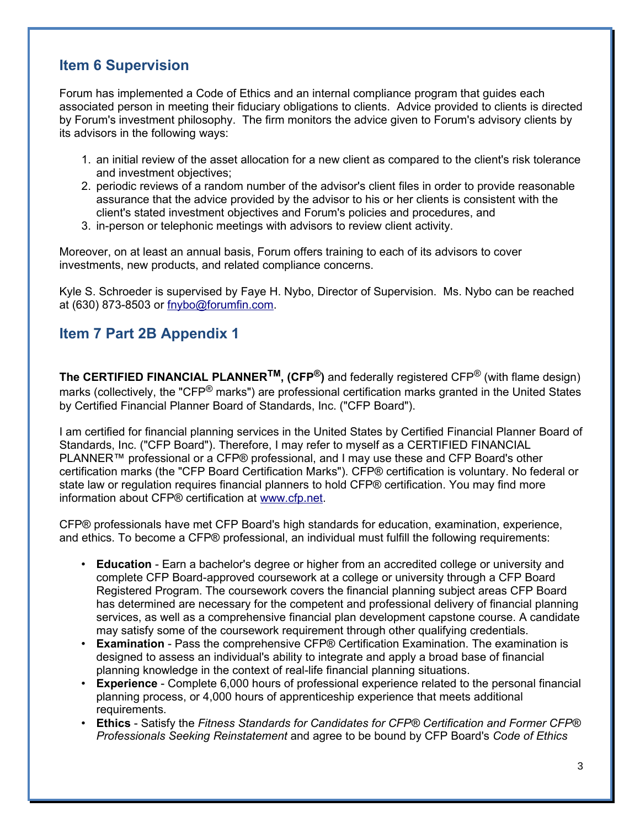## **Item 6 Supervision**

Forum has implemented a Code of Ethics and an internal compliance program that guides each associated person in meeting their fiduciary obligations to clients. Advice provided to clients is directed by Forum's investment philosophy. The firm monitors the advice given to Forum's advisory clients by its advisors in the following ways:

- 1. an initial review of the asset allocation for a new client as compared to the client's risk tolerance and investment objectives;
- 2. periodic reviews of a random number of the advisor's client files in order to provide reasonable assurance that the advice provided by the advisor to his or her clients is consistent with the client's stated investment objectives and Forum's policies and procedures, and
- 3. in-person or telephonic meetings with advisors to review client activity.

Moreover, on at least an annual basis, Forum offers training to each of its advisors to cover investments, new products, and related compliance concerns.

Kyle S. Schroeder is supervised by Faye H. Nybo, Director of Supervision. Ms. Nybo can be reached at (630) 873-8503 or [fnybo@forumfin.com.](mailto:fnybo@forumfin.com)

## **Item 7 Part 2B Appendix 1**

**The CERTIFIED FINANCIAL PLANNERTM, (CFP®)** and federally registered CFP® (with flame design) marks (collectively, the "CFP<sup>®</sup> marks") are professional certification marks granted in the United States by Certified Financial Planner Board of Standards, Inc. ("CFP Board").

I am certified for financial planning services in the United States by Certified Financial Planner Board of Standards, Inc. ("CFP Board"). Therefore, I may refer to myself as a CERTIFIED FINANCIAL PLANNER™ professional or a CFP® professional, and I may use these and CFP Board's other certification marks (the "CFP Board Certification Marks"). CFP® certification is voluntary. No federal or state law or regulation requires financial planners to hold CFP® certification. You may find more information about CFP® certification at [www.cfp.net.](http://www.cfp.net/)

CFP® professionals have met CFP Board's high standards for education, examination, experience, and ethics. To become a CFP® professional, an individual must fulfill the following requirements:

- **Education** Earn a bachelor's degree or higher from an accredited college or university and complete CFP Board-approved coursework at a college or university through a CFP Board Registered Program. The coursework covers the financial planning subject areas CFP Board has determined are necessary for the competent and professional delivery of financial planning services, as well as a comprehensive financial plan development capstone course. A candidate may satisfy some of the coursework requirement through other qualifying credentials.
- **Examination** Pass the comprehensive CFP® Certification Examination. The examination is designed to assess an individual's ability to integrate and apply a broad base of financial planning knowledge in the context of real-life financial planning situations.
- **Experience** Complete 6,000 hours of professional experience related to the personal financial planning process, or 4,000 hours of apprenticeship experience that meets additional requirements.
- **Ethics** Satisfy the *Fitness Standards for Candidates for CFP® Certification and Former CFP® Professionals Seeking Reinstatement* and agree to be bound by CFP Board's *Code of Ethics*